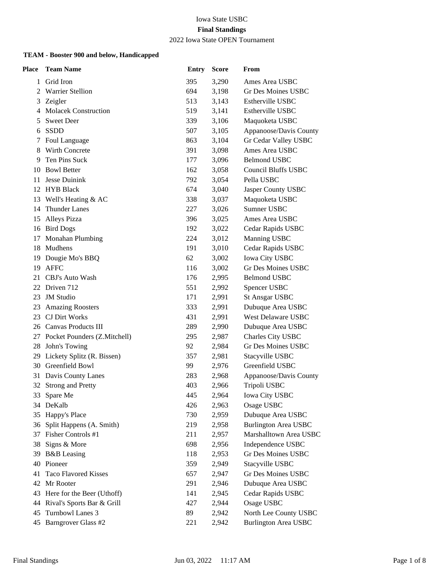#### Iowa State USBC **Final Standings** 2022 Iowa State OPEN Tournament

| <b>Place</b> | <b>Team Name</b>                | <b>Entry</b> | <b>Score</b> | From                        |
|--------------|---------------------------------|--------------|--------------|-----------------------------|
| 1            | Grid Iron                       | 395          | 3,290        | Ames Area USBC              |
| 2            | <b>Warrier Stellion</b>         | 694          | 3,198        | Gr Des Moines USBC          |
| 3            | Zeigler                         | 513          | 3,143        | Estherville USBC            |
| 4            | <b>Molacek Construction</b>     | 519          | 3,141        | Estherville USBC            |
| 5            | <b>Sweet Deer</b>               | 339          | 3,106        | Maquoketa USBC              |
| 6            | <b>SSDD</b>                     | 507          | 3,105        | Appanoose/Davis County      |
| 7            | Foul Language                   | 863          | 3,104        | Gr Cedar Valley USBC        |
| 8            | Wirth Concrete                  | 391          | 3,098        | Ames Area USBC              |
| 9            | Ten Pins Suck                   | 177          | 3,096        | <b>Belmond USBC</b>         |
| 10           | <b>Bowl Better</b>              | 162          | 3,058        | <b>Council Bluffs USBC</b>  |
| 11           | Jesse Duinink                   | 792          | 3,054        | Pella USBC                  |
|              | 12 HYB Black                    | 674          | 3,040        | Jasper County USBC          |
| 13           | Well's Heating $&AC$            | 338          | 3,037        | Maquoketa USBC              |
| 14           | <b>Thunder Lanes</b>            | 227          | 3,026        | Sumner USBC                 |
| 15           | Alleys Pizza                    | 396          | 3,025        | Ames Area USBC              |
| 16           | <b>Bird Dogs</b>                | 192          | 3,022        | Cedar Rapids USBC           |
| 17           | Monahan Plumbing                | 224          | 3,012        | Manning USBC                |
| 18           | Mudhens                         | 191          | 3,010        | Cedar Rapids USBC           |
| 19           | Dougie Mo's BBQ                 | 62           | 3,002        | Iowa City USBC              |
| 19           | <b>AFFC</b>                     | 116          | 3,002        | Gr Des Moines USBC          |
| 21           | CBJ's Auto Wash                 | 176          | 2,995        | <b>Belmond USBC</b>         |
| 22           | Driven 712                      | 551          | 2,992        | Spencer USBC                |
| 23           | <b>JM</b> Studio                | 171          | 2,991        | <b>St Ansgar USBC</b>       |
| 23           | <b>Amazing Roosters</b>         | 333          | 2,991        | Dubuque Area USBC           |
|              | 23 CJ Dirt Works                | 431          | 2,991        | West Delaware USBC          |
|              | 26 Canvas Products III          | 289          | 2,990        | Dubuque Area USBC           |
|              | 27 Pocket Pounders (Z.Mitchell) | 295          | 2,987        | Charles City USBC           |
| 28           | John's Towing                   | 92           | 2,984        | Gr Des Moines USBC          |
|              | 29 Lickety Splitz (R. Bissen)   | 357          | 2,981        | Stacyville USBC             |
| 30           | Greenfield Bowl                 | 99           | 2,976        | Greenfield USBC             |
| 31           | Davis County Lanes              | 283          | 2,968        | Appanoose/Davis County      |
| 32           | <b>Strong and Pretty</b>        | 403          | 2,966        | Tripoli USBC                |
|              | 33 Spare Me                     | 445          | 2,964        | Iowa City USBC              |
|              | 34 DeKalb                       | 426          | 2,963        | Osage USBC                  |
| 35           | Happy's Place                   | 730          | 2,959        | Dubuque Area USBC           |
| 36           | Split Happens (A. Smith)        | 219          | 2,958        | <b>Burlington Area USBC</b> |
|              | 37 Fisher Controls #1           | 211          | 2,957        | Marshalltown Area USBC      |
| 38           | Signs & More                    | 698          | 2,956        | Independence USBC           |
| 39           | <b>B&amp;B</b> Leasing          | 118          | 2,953        | <b>Gr Des Moines USBC</b>   |
| 40           | Pioneer                         | 359          | 2,949        | Stacyville USBC             |
| 41           | <b>Taco Flavored Kisses</b>     | 657          | 2,947        | Gr Des Moines USBC          |
| 42           | Mr Rooter                       | 291          | 2,946        | Dubuque Area USBC           |
| 43           | Here for the Beer (Uthoff)      | 141          | 2,945        | Cedar Rapids USBC           |
| 44           | Rival's Sports Bar & Grill      | 427          | 2,944        | Osage USBC                  |
| 45           | Turnbowl Lanes 3                | 89           | 2,942        | North Lee County USBC       |
| 45           | Barngrover Glass #2             | 221          | 2,942        | <b>Burlington Area USBC</b> |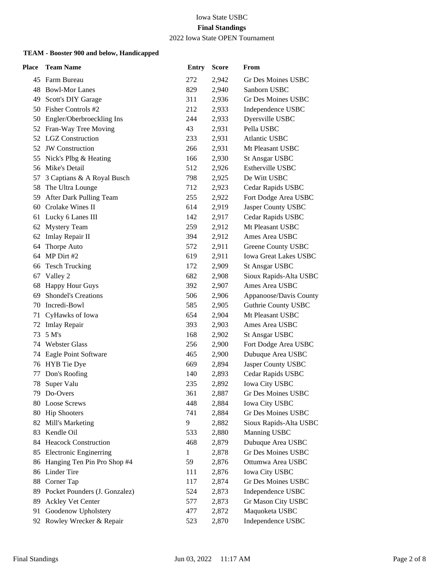2022 Iowa State OPEN Tournament

| Place | <b>Team Name</b>               | <b>Entry</b> | <b>Score</b> | From                         |
|-------|--------------------------------|--------------|--------------|------------------------------|
|       | 45 Farm Bureau                 | 272          | 2,942        | Gr Des Moines USBC           |
|       | 48 Bowl-Mor Lanes              | 829          | 2,940        | Sanborn USBC                 |
| 49    | Scott's DIY Garage             | 311          | 2,936        | Gr Des Moines USBC           |
|       | 50 Fisher Controls #2          | 212          | 2,933        | Independence USBC            |
| 50    | Engler/Oberbroeckling Ins      | 244          | 2,933        | Dyersville USBC              |
| 52    | Fran-Way Tree Moving           | 43           | 2,931        | Pella USBC                   |
| 52    | <b>LGZ</b> Construction        | 233          | 2,931        | <b>Atlantic USBC</b>         |
| 52    | <b>JW</b> Construction         | 266          | 2,931        | Mt Pleasant USBC             |
| 55    | Nick's Plbg & Heating          | 166          | 2,930        | <b>St Ansgar USBC</b>        |
| 56    | Mike's Detail                  | 512          | 2,926        | Estherville USBC             |
| 57    | 3 Captians & A Royal Busch     | 798          | 2,925        | De Witt USBC                 |
| 58    | The Ultra Lounge               | 712          | 2,923        | Cedar Rapids USBC            |
| 59    | After Dark Pulling Team        | 255          | 2,922        | Fort Dodge Area USBC         |
| 60    | Crolake Wines II               | 614          | 2,919        | Jasper County USBC           |
|       | 61 Lucky 6 Lanes III           | 142          | 2,917        | Cedar Rapids USBC            |
| 62    | <b>Mystery Team</b>            | 259          | 2,912        | Mt Pleasant USBC             |
|       | 62 Imlay Repair II             | 394          | 2,912        | Ames Area USBC               |
| 64    | Thorpe Auto                    | 572          | 2,911        | Greene County USBC           |
| 64    | MP Dirt #2                     | 619          | 2,911        | <b>Iowa Great Lakes USBC</b> |
|       | 66 Tesch Trucking              | 172          | 2,909        | <b>St Ansgar USBC</b>        |
| 67    | Valley 2                       | 682          | 2,908        | Sioux Rapids-Alta USBC       |
| 68    | <b>Happy Hour Guys</b>         | 392          | 2,907        | Ames Area USBC               |
| 69    | <b>Shondel's Creations</b>     | 506          | 2,906        | Appanoose/Davis County       |
|       | 70 Incredi-Bowl                | 585          | 2,905        | <b>Guthrie County USBC</b>   |
|       | 71 CyHawks of Iowa             | 654          | 2,904        | Mt Pleasant USBC             |
| 72    | <b>Imlay Repair</b>            | 393          | 2,903        | Ames Area USBC               |
| 73    | 5 M's                          | 168          | 2,902        | <b>St Ansgar USBC</b>        |
| 74    | <b>Webster Glass</b>           | 256          | 2,900        | Fort Dodge Area USBC         |
| 74    | <b>Eagle Point Software</b>    | 465          | 2,900        | Dubuque Area USBC            |
| 76    | HYB Tie Dye                    | 669          | 2,894        | Jasper County USBC           |
| 77    | Don's Roofing                  | 140          | 2,893        | Cedar Rapids USBC            |
| 78    | Super Valu                     | 235          | 2,892        | <b>Iowa City USBC</b>        |
|       | 79 Do-Overs                    | 361          | 2,887        | Gr Des Moines USBC           |
| 80    | <b>Loose Screws</b>            | 448          | 2,884        | <b>Iowa City USBC</b>        |
| 80    | <b>Hip Shooters</b>            | 741          | 2,884        | <b>Gr Des Moines USBC</b>    |
| 82    | Mill's Marketing               | 9            | 2,882        | Sioux Rapids-Alta USBC       |
| 83    | Kendle Oil                     | 533          | 2,880        | Manning USBC                 |
| 84    | <b>Heacock Construction</b>    | 468          | 2,879        | Dubuque Area USBC            |
| 85    | <b>Electronic Enginerring</b>  | 1            | 2,878        | Gr Des Moines USBC           |
|       | 86 Hanging Ten Pin Pro Shop #4 | 59           | 2,876        | Ottumwa Area USBC            |
|       | 86 Linder Tire                 | 111          | 2,876        | <b>Iowa City USBC</b>        |
| 88    | Corner Tap                     | 117          | 2,874        | <b>Gr Des Moines USBC</b>    |
| 89    | Pocket Pounders (J. Gonzalez)  | 524          | 2,873        | Independence USBC            |
| 89    | <b>Ackley Vet Center</b>       | 577          | 2,873        | Gr Mason City USBC           |
| 91    | Goodenow Upholstery            | 477          | 2,872        | Maquoketa USBC               |
| 92    | Rowley Wrecker & Repair        | 523          | 2,870        | Independence USBC            |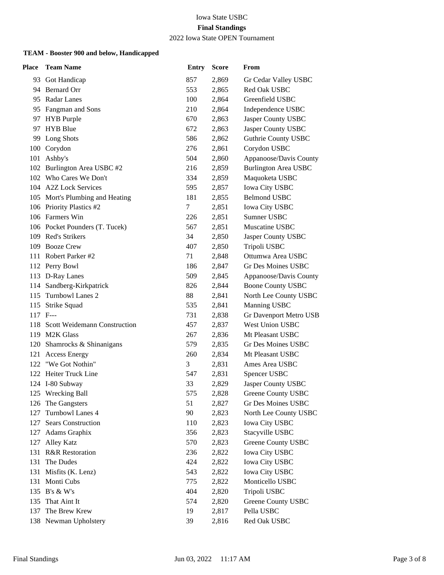## 2022 Iowa State OPEN Tournament

| <b>Place</b> | <b>Team Name</b>                 | <b>Entry</b> | <b>Score</b> | From                       |
|--------------|----------------------------------|--------------|--------------|----------------------------|
|              | 93 Got Handicap                  | 857          | 2,869        | Gr Cedar Valley USBC       |
|              | 94 Bernard Orr                   | 553          | 2,865        | Red Oak USBC               |
|              | 95 Radar Lanes                   | 100          | 2,864        | Greenfield USBC            |
|              | 95 Fangman and Sons              | 210          | 2,864        | Independence USBC          |
|              | 97 HYB Purple                    | 670          | 2,863        | Jasper County USBC         |
| 97           | <b>HYB</b> Blue                  | 672          | 2,863        | Jasper County USBC         |
| 99           | Long Shots                       | 586          | 2,862        | <b>Guthrie County USBC</b> |
|              | 100 Corydon                      | 276          | 2,861        | Corydon USBC               |
|              | 101 Ashby's                      | 504          | 2,860        | Appanoose/Davis County     |
|              | 102 Burlington Area USBC #2      | 216          | 2,859        | Burlington Area USBC       |
|              | 102 Who Cares We Don't           | 334          | 2,859        | Maquoketa USBC             |
|              | 104 A2Z Lock Services            | 595          | 2,857        | Iowa City USBC             |
|              | 105 Mort's Plumbing and Heating  | 181          | 2,855        | <b>Belmond USBC</b>        |
|              | 106 Priority Plastics #2         | 7            | 2,851        | Iowa City USBC             |
|              | 106 Farmers Win                  | 226          | 2,851        | Sumner USBC                |
|              | 106 Pocket Pounders (T. Tucek)   | 567          | 2,851        | Muscatine USBC             |
|              | 109 Red's Strikers               | 34           | 2,850        | Jasper County USBC         |
|              | 109 Booze Crew                   | 407          | 2,850        | Tripoli USBC               |
|              | 111 Robert Parker #2             | 71           | 2,848        | Ottumwa Area USBC          |
|              | 112 Perry Bowl                   | 186          | 2,847        | <b>Gr Des Moines USBC</b>  |
|              | 113 D-Ray Lanes                  | 509          | 2,845        | Appanoose/Davis County     |
| 114          | Sandberg-Kirkpatrick             | 826          | 2,844        | <b>Boone County USBC</b>   |
| 115          | Turnbowl Lanes 2                 | 88           | 2,841        | North Lee County USBC      |
|              | 115 Strike Squad                 | 535          | 2,841        | Manning USBC               |
| 117 F---     |                                  | 731          | 2,838        | Gr Davenport Metro USB     |
|              | 118 Scott Weidemann Construction | 457          | 2,837        | West Union USBC            |
|              | 119 M2K Glass                    | 267          | 2,836        | Mt Pleasant USBC           |
|              | 120 Shamrocks & Shinanigans      | 579          | 2,835        | Gr Des Moines USBC         |
|              | 121 Access Energy                | 260          | 2,834        | Mt Pleasant USBC           |
|              | 122 "We Got Nothin"              | 3            | 2,831        | Ames Area USBC             |
|              | 122 Heiter Truck Line            | 547          | 2,831        | Spencer USBC               |
|              | 124 I-80 Subway                  | 33           | 2,829        | Jasper County USBC         |
|              | 125 Wrecking Ball                | 575          | 2,828        | Greene County USBC         |
| 126          | The Gangsters                    | 51           | 2,827        | <b>Gr Des Moines USBC</b>  |
| 127          | <b>Turnbowl Lanes 4</b>          | 90           | 2,823        | North Lee County USBC      |
| 127          | Sears Construction               | 110          | 2,823        | Iowa City USBC             |
| 127          | Adams Graphix                    | 356          | 2,823        | Stacyville USBC            |
| 127          | Alley Katz                       | 570          | 2,823        | Greene County USBC         |
| 131          | <b>R&amp;R</b> Restoration       | 236          | 2,822        | <b>Iowa City USBC</b>      |
| 131          | The Dudes                        | 424          | 2,822        | Iowa City USBC             |
| 131          | Misfits (K. Lenz)                | 543          | 2,822        | Iowa City USBC             |
| 131          | Monti Cubs                       | 775          | 2,822        | Monticello USBC            |
| 135          | B's & W's                        | 404          | 2,820        | Tripoli USBC               |
| 135          | That Aint It                     | 574          | 2,820        | Greene County USBC         |
| 137          | The Brew Krew                    | 19           | 2,817        | Pella USBC                 |
| 138          | Newman Upholstery                | 39           | 2,816        | Red Oak USBC               |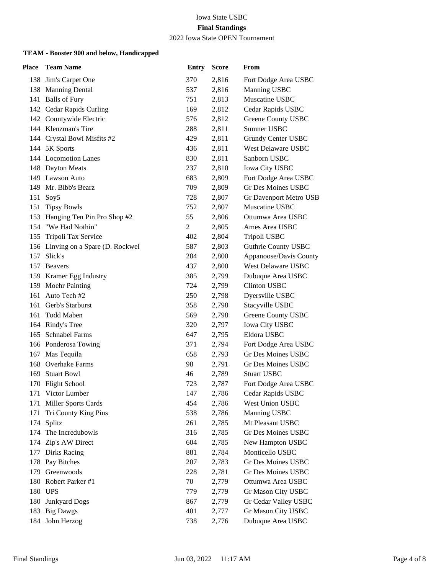2022 Iowa State OPEN Tournament

| Place | <b>Team Name</b>                   | <b>Entry</b>   | <b>Score</b> | From                       |
|-------|------------------------------------|----------------|--------------|----------------------------|
|       | 138 Jim's Carpet One               | 370            | 2,816        | Fort Dodge Area USBC       |
|       | 138 Manning Dental                 | 537            | 2,816        | Manning USBC               |
|       | 141 Balls of Fury                  | 751            | 2,813        | Muscatine USBC             |
|       | 142 Cedar Rapids Curling           | 169            | 2,812        | Cedar Rapids USBC          |
|       | 142 Countywide Electric            | 576            | 2,812        | Greene County USBC         |
|       | 144 Klenzman's Tire                | 288            | 2,811        | Sumner USBC                |
|       | 144 Crystal Bowl Misfits #2        | 429            | 2,811        | Grundy Center USBC         |
|       | 144 5K Sports                      | 436            | 2,811        | <b>West Delaware USBC</b>  |
|       | 144 Locomotion Lanes               | 830            | 2,811        | Sanborn USBC               |
|       | 148 Dayton Meats                   | 237            | 2,810        | <b>Iowa City USBC</b>      |
|       | 149 Lawson Auto                    | 683            | 2,809        | Fort Dodge Area USBC       |
|       | 149 Mr. Bibb's Bearz               | 709            | 2,809        | <b>Gr Des Moines USBC</b>  |
|       | 151 Soy5                           | 728            | 2,807        | Gr Davenport Metro USB     |
| 151   | <b>Tipsy Bowls</b>                 | 752            | 2,807        | Muscatine USBC             |
| 153   | Hanging Ten Pin Pro Shop #2        | 55             | 2,806        | Ottumwa Area USBC          |
|       | 154 "We Had Nothin"                | $\overline{c}$ | 2,805        | Ames Area USBC             |
|       | 155 Tripoli Tax Service            | 402            | 2,804        | Tripoli USBC               |
|       | 156 Linving on a Spare (D. Rockwel | 587            | 2,803        | <b>Guthrie County USBC</b> |
| 157   | Slick's                            | 284            | 2,800        | Appanoose/Davis County     |
|       | 157 Beavers                        | 437            | 2,800        | West Delaware USBC         |
|       | 159 Kramer Egg Industry            | 385            | 2,799        | Dubuque Area USBC          |
|       | 159 Moehr Painting                 | 724            | 2,799        | <b>Clinton USBC</b>        |
| 161   | Auto Tech #2                       | 250            | 2,798        | Dyersville USBC            |
|       | 161 Gerb's Starburst               | 358            | 2,798        | Stacyville USBC            |
| 161   | Todd Maben                         | 569            | 2,798        | Greene County USBC         |
|       | 164 Rindy's Tree                   | 320            | 2,797        | Iowa City USBC             |
| 165   | <b>Schnabel Farms</b>              | 647            | 2,795        | Eldora USBC                |
|       | 166 Ponderosa Towing               | 371            | 2,794        | Fort Dodge Area USBC       |
|       | 167 Mas Tequila                    | 658            | 2,793        | Gr Des Moines USBC         |
|       | 168 Overhake Farms                 | 98             | 2,791        | <b>Gr Des Moines USBC</b>  |
| 169   | <b>Stuart Bowl</b>                 | 46             | 2,789        | <b>Stuart USBC</b>         |
|       | 170 Flight School                  | 723            | 2,787        | Fort Dodge Area USBC       |
|       | 171 Victor Lumber                  | 147            | 2,786        | Cedar Rapids USBC          |
| 171   | Miller Sports Cards                | 454            | 2,786        | West Union USBC            |
| 171   | Tri County King Pins               | 538            | 2,786        | Manning USBC               |
| 174   | Splitz                             | 261            | 2,785        | Mt Pleasant USBC           |
|       | 174 The Incredubowls               | 316            | 2,785        | <b>Gr Des Moines USBC</b>  |
| 174   | Zip's AW Direct                    | 604            | 2,785        | New Hampton USBC           |
| 177   | Dirks Racing                       | 881            | 2,784        | Monticello USBC            |
| 178   | Pay Bitches                        | 207            | 2,783        | Gr Des Moines USBC         |
| 179   | Greenwoods                         | 228            | 2,781        | <b>Gr Des Moines USBC</b>  |
| 180   | Robert Parker #1                   | 70             | 2,779        | Ottumwa Area USBC          |
|       | 180 UPS                            | 779            | 2,779        | Gr Mason City USBC         |
| 180   | <b>Junkyard Dogs</b>               | 867            | 2,779        | Gr Cedar Valley USBC       |
| 183   | <b>Big Dawgs</b>                   | 401            | 2,777        | Gr Mason City USBC         |
| 184   | John Herzog                        | 738            | 2,776        | Dubuque Area USBC          |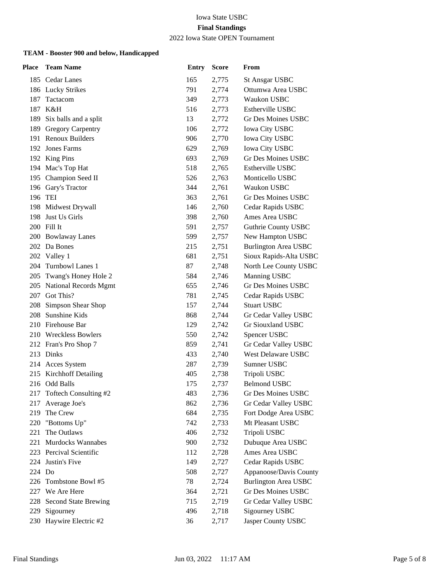2022 Iowa State OPEN Tournament

| Place  | <b>Team Name</b>            | <b>Entry</b> | <b>Score</b> | From                        |
|--------|-----------------------------|--------------|--------------|-----------------------------|
|        | 185 Cedar Lanes             | 165          | 2,775        | <b>St Ansgar USBC</b>       |
|        | 186 Lucky Strikes           | 791          | 2,774        | Ottumwa Area USBC           |
| 187    | Tactacom                    | 349          | 2,773        | Waukon USBC                 |
|        | 187 K&H                     | 516          | 2,773        | Estherville USBC            |
| 189    | Six balls and a split       | 13           | 2,772        | Gr Des Moines USBC          |
| 189    | <b>Gregory Carpentry</b>    | 106          | 2,772        | <b>Iowa City USBC</b>       |
| 191    | <b>Renoux Builders</b>      | 906          | 2,770        | Iowa City USBC              |
| 192    | <b>Jones Farms</b>          | 629          | 2,769        | Iowa City USBC              |
|        | 192 King Pins               | 693          | 2,769        | <b>Gr Des Moines USBC</b>   |
|        | 194 Mac's Top Hat           | 518          | 2,765        | Estherville USBC            |
|        | 195 Champion Seed II        | 526          | 2,763        | Monticello USBC             |
|        | 196 Gary's Tractor          | 344          | 2,761        | Waukon USBC                 |
|        | 196 TEI                     | 363          | 2,761        | Gr Des Moines USBC          |
|        | 198 Midwest Drywall         | 146          | 2,760        | Cedar Rapids USBC           |
| 198    | Just Us Girls               | 398          | 2,760        | Ames Area USBC              |
|        | 200 Fill It                 | 591          | 2,757        | <b>Guthrie County USBC</b>  |
|        | 200 Bowlaway Lanes          | 599          | 2,757        | New Hampton USBC            |
|        | 202 Da Bones                | 215          | 2,751        | <b>Burlington Area USBC</b> |
|        | 202 Valley 1                | 681          | 2,751        | Sioux Rapids-Alta USBC      |
|        | 204 Turnbowl Lanes 1        | 87           | 2,748        | North Lee County USBC       |
|        | 205 Twang's Honey Hole 2    | 584          | 2,746        | Manning USBC                |
|        | 205 National Records Mgmt   | 655          | 2,746        | Gr Des Moines USBC          |
| 207    | Got This?                   | 781          | 2,745        | Cedar Rapids USBC           |
|        | 208 Simpson Shear Shop      | 157          | 2,744        | <b>Stuart USBC</b>          |
|        | 208 Sunshine Kids           | 868          | 2,744        | Gr Cedar Valley USBC        |
|        | 210 Firehouse Bar           | 129          | 2,742        | Gr Siouxland USBC           |
|        | 210 Wreckless Bowlers       | 550          | 2,742        | Spencer USBC                |
|        | 212 Fran's Pro Shop 7       | 859          | 2,741        | Gr Cedar Valley USBC        |
|        | 213 Dinks                   | 433          | 2,740        | <b>West Delaware USBC</b>   |
|        | 214 Acces System            | 287          | 2,739        | Sumner USBC                 |
| 215    | Kirchhoff Detailing         | 405          | 2,738        | Tripoli USBC                |
|        | 216 Odd Balls               | 175          | 2,737        | <b>Belmond USBC</b>         |
|        | 217 Toftech Consulting #2   | 483          | 2,736        | Gr Des Moines USBC          |
| 217    | Average Joe's               | 862          | 2,736        | Gr Cedar Valley USBC        |
| 219    | The Crew                    | 684          | 2,735        | Fort Dodge Area USBC        |
| 220    | "Bottoms Up"                | 742          | 2,733        | Mt Pleasant USBC            |
| 221    | The Outlaws                 | 406          | 2,732        | Tripoli USBC                |
| 221    | <b>Murdocks Wannabes</b>    | 900          | 2,732        | Dubuque Area USBC           |
| 223    | Percival Scientific         | 112          | 2,728        | Ames Area USBC              |
| 224    | Justin's Five               | 149          | 2,727        | Cedar Rapids USBC           |
| 224 Do |                             | 508          | 2,727        | Appanoose/Davis County      |
| 226    | Tombstone Bowl #5           | 78           | 2,724        | <b>Burlington Area USBC</b> |
| 227    | We Are Here                 | 364          | 2,721        | Gr Des Moines USBC          |
| 228    | <b>Second State Brewing</b> | 715          | 2,719        | Gr Cedar Valley USBC        |
| 229    | Sigourney                   | 496          | 2,718        | Sigourney USBC              |
|        | 230 Haywire Electric #2     | 36           | 2,717        | Jasper County USBC          |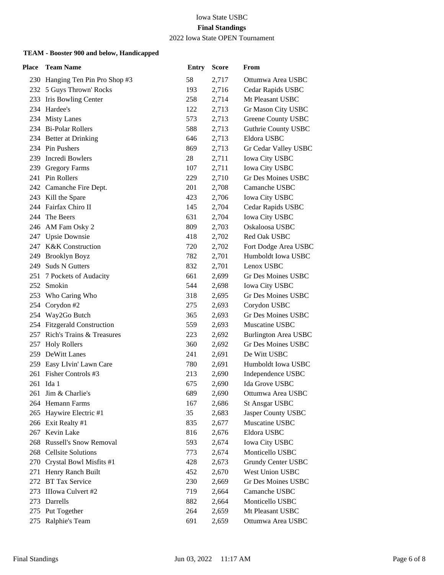2022 Iowa State OPEN Tournament

| Place | <b>Team Name</b>                        | <b>Entry</b> | <b>Score</b>   | From                                        |
|-------|-----------------------------------------|--------------|----------------|---------------------------------------------|
|       | 230 Hanging Ten Pin Pro Shop #3         | 58           | 2,717          | Ottumwa Area USBC                           |
|       | 232 5 Guys Thrown' Rocks                | 193          | 2,716          | Cedar Rapids USBC                           |
|       | 233 Iris Bowling Center                 | 258          | 2,714          | Mt Pleasant USBC                            |
|       | 234 Hardee's                            | 122          | 2,713          | Gr Mason City USBC                          |
|       | 234 Misty Lanes                         | 573          | 2,713          | Greene County USBC                          |
|       | 234 Bi-Polar Rollers                    | 588          | 2,713          | <b>Guthrie County USBC</b>                  |
|       | 234 Better at Drinking                  | 646          | 2,713          | Eldora USBC                                 |
|       | 234 Pin Pushers                         | 869          | 2,713          | Gr Cedar Valley USBC                        |
|       | 239 Incredi Bowlers                     | 28           | 2,711          | <b>Iowa City USBC</b>                       |
| 239   | <b>Gregory Farms</b>                    | 107          | 2,711          | <b>Iowa City USBC</b>                       |
|       | 241 Pin Rollers                         | 229          | 2,710          | Gr Des Moines USBC                          |
|       | 242 Camanche Fire Dept.                 | 201          | 2,708          | Camanche USBC                               |
|       | 243 Kill the Spare                      | 423          | 2,706          | <b>Iowa City USBC</b>                       |
|       | 244 Fairfax Chiro II                    | 145          | 2,704          | Cedar Rapids USBC                           |
|       | 244 The Beers                           | 631          | 2,704          | <b>Iowa City USBC</b>                       |
|       | 246 AM Fam Osky 2                       | 809          | 2,703          | Oskaloosa USBC                              |
|       | 247 Upsie Downsie                       | 418          | 2,702          | Red Oak USBC                                |
|       | 247 K&K Construction                    | 720          | 2,702          | Fort Dodge Area USBC                        |
| 249   | <b>Brooklyn Boyz</b>                    | 782          | 2,701          | Humboldt Iowa USBC                          |
|       | 249 Suds N Gutters                      | 832          | 2,701          | Lenox USBC                                  |
|       | 251 7 Pockets of Audacity               | 661          | 2,699          | Gr Des Moines USBC                          |
| 252   | Smokin                                  | 544          | 2,698          | <b>Iowa City USBC</b>                       |
| 253   | Who Caring Who                          | 318          | 2,695          | <b>Gr Des Moines USBC</b>                   |
|       | 254 Corydon #2                          | 275          | 2,693          | Corydon USBC                                |
|       | 254 Way2Go Butch                        | 365          | 2,693          | Gr Des Moines USBC                          |
|       | 254 Fitzgerald Construction             | 559          | 2,693          | Muscatine USBC                              |
| 257   | Rich's Trains & Treasures               | 223          | 2,692          | <b>Burlington Area USBC</b>                 |
|       | 257 Holy Rollers                        | 360          | 2,692          | <b>Gr Des Moines USBC</b>                   |
|       | 259 DeWitt Lanes                        | 241          | 2,691          | De Witt USBC                                |
|       | 259 Easy LIvin' Lawn Care               | 780          | 2,691          | Humboldt Iowa USBC                          |
| 261   | Fisher Controls #3                      | 213          | 2,690          | Independence USBC                           |
|       | 261 Ida 1                               | 675          | 2,690          | Ida Grove USBC                              |
|       | 261 Jim & Charlie's<br>264 Hemann Farms | 689          | 2,690          | Ottumwa Area USBC                           |
|       |                                         | 167          | 2,686          | <b>St Ansgar USBC</b><br>Jasper County USBC |
| 265   | Haywire Electric #1                     | 35<br>835    | 2,683          | Muscatine USBC                              |
|       | 266 Exit Realty #1<br>267 Kevin Lake    |              | 2,677<br>2,676 | Eldora USBC                                 |
|       | 268 Russell's Snow Removal              | 816<br>593   | 2,674          | <b>Iowa City USBC</b>                       |
|       | 268 Cellsite Solutions                  | 773          | 2,674          | Monticello USBC                             |
|       | 270 Crystal Bowl Misfits #1             | 428          | 2,673          | Grundy Center USBC                          |
| 271   | Henry Ranch Built                       | 452          | 2,670          | West Union USBC                             |
| 272   | <b>BT Tax Service</b>                   | 230          | 2,669          | <b>Gr Des Moines USBC</b>                   |
| 273   | <b>IIIowa Culvert #2</b>                | 719          | 2,664          | Camanche USBC                               |
|       | 273 Darrells                            | 882          | 2,664          | Monticello USBC                             |
| 275   | Put Together                            | 264          | 2,659          | Mt Pleasant USBC                            |
| 275   | Ralphie's Team                          | 691          | 2,659          | Ottumwa Area USBC                           |
|       |                                         |              |                |                                             |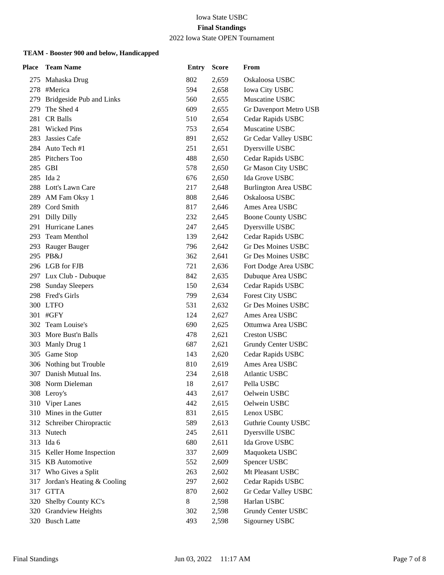2022 Iowa State OPEN Tournament

| <b>Place</b> | <b>Team Name</b>                              | <b>Entry</b> | <b>Score</b>   | From                                |
|--------------|-----------------------------------------------|--------------|----------------|-------------------------------------|
|              | 275 Mahaska Drug                              | 802          | 2,659          | Oskaloosa USBC                      |
| 278.         | #Merica                                       | 594          | 2,658          | <b>Iowa City USBC</b>               |
| 279          | Bridgeside Pub and Links                      | 560          | 2,655          | Muscatine USBC                      |
| 279          | The Shed 4                                    | 609          | 2,655          | Gr Davenport Metro USB              |
| 281          | <b>CR Balls</b>                               | 510          | 2,654          | Cedar Rapids USBC                   |
| 281          | <b>Wicked Pins</b>                            | 753          | 2,654          | Muscatine USBC                      |
| 283          | Jassies Cafe                                  | 891          | 2,652          | Gr Cedar Valley USBC                |
|              | 284 Auto Tech #1                              | 251          | 2,651          | Dyersville USBC                     |
|              | 285 Pitchers Too                              | 488          | 2,650          | Cedar Rapids USBC                   |
|              | 285 GBI                                       | 578          | 2,650          | Gr Mason City USBC                  |
|              | 285 Ida 2                                     | 676          | 2,650          | Ida Grove USBC                      |
|              | 288 Lott's Lawn Care                          | 217          | 2,648          | <b>Burlington Area USBC</b>         |
|              | 289 AM Fam Oksy 1                             | 808          | 2,646          | Oskaloosa USBC                      |
|              | 289 Cord Smith                                | 817          | 2,646          | Ames Area USBC                      |
|              | 291 Dilly Dilly                               | 232          | 2,645          | <b>Boone County USBC</b>            |
|              | 291 Hurricane Lanes                           | 247          | 2,645          | Dyersville USBC                     |
|              | 293 Team Menthol                              | 139          | 2,642          | Cedar Rapids USBC                   |
| 293          | Rauger Bauger                                 | 796          | 2,642          | Gr Des Moines USBC                  |
|              | 295 PB&J                                      | 362          | 2,641          | <b>Gr Des Moines USBC</b>           |
|              | 296 LGB for FJB                               | 721          | 2,636          | Fort Dodge Area USBC                |
|              | 297 Lux Club - Dubuque                        | 842          | 2,635          | Dubuque Area USBC                   |
| 298          | <b>Sunday Sleepers</b>                        | 150          | 2,634          | Cedar Rapids USBC                   |
|              | 298 Fred's Girls                              | 799          | 2,634          | Forest City USBC                    |
|              | 300 LTFO                                      | 531          | 2,632          | Gr Des Moines USBC                  |
|              | 301 #GFY                                      | 124          | 2,627          | Ames Area USBC                      |
| 302          | Team Louise's                                 | 690          | 2,625          | Ottumwa Area USBC                   |
|              | 303 More Bust'n Balls                         | 478          | 2,621          | <b>Creston USBC</b>                 |
|              | 303 Manly Drug 1                              | 687          | 2,621          | Grundy Center USBC                  |
| 305          | Game Stop                                     | 143          | 2,620          | Cedar Rapids USBC<br>Ames Area USBC |
| 307          | 306 Nothing but Trouble<br>Danish Mutual Ins. | 810<br>234   | 2,619          | Atlantic USBC                       |
|              | 308 Norm Dieleman                             | 18           | 2,618<br>2,617 | Pella USBC                          |
|              | 308 Leroy's                                   | 443          | 2,617          | Oelwein USBC                        |
|              | 310 Viper Lanes                               | 442          | 2,615          | Oelwein USBC                        |
|              | 310 Mines in the Gutter                       | 831          | 2,615          | Lenox USBC                          |
|              | 312 Schreiber Chiropractic                    | 589          | 2,613          | <b>Guthrie County USBC</b>          |
|              | 313 Nutech                                    | 245          | 2,611          | Dyersville USBC                     |
|              | 313 Ida 6                                     | 680          | 2,611          | Ida Grove USBC                      |
|              | 315 Keller Home Inspection                    | 337          | 2,609          | Maquoketa USBC                      |
|              | 315 KB Automotive                             | 552          | 2,609          | Spencer USBC                        |
|              | 317 Who Gives a Split                         | 263          | 2,602          | Mt Pleasant USBC                    |
| 317          | Jordan's Heating & Cooling                    | 297          | 2,602          | Cedar Rapids USBC                   |
| 317          | <b>GTTA</b>                                   | 870          | 2,602          | Gr Cedar Valley USBC                |
| 320          | Shelby County KC's                            | 8            | 2,598          | Harlan USBC                         |
|              | 320 Grandview Heights                         | 302          | 2,598          | Grundy Center USBC                  |
|              | 320 Busch Latte                               | 493          | 2,598          | Sigourney USBC                      |
|              |                                               |              |                |                                     |